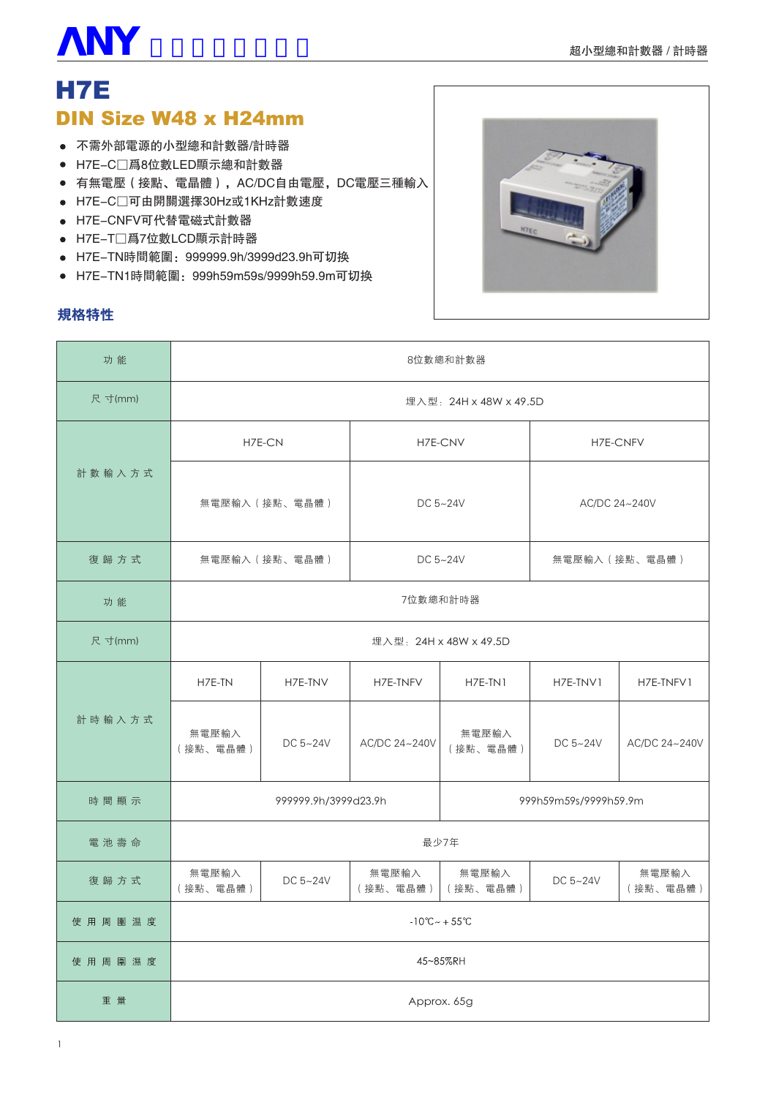# **V NY** 士研電氣有限公司

# H<sub>7</sub>E **DIN Size W48 x H24mm**

- 不需外部電源的小型總和計數器/計時器
- H7E-C□爲8位數LED顯示總和計數器
- 有無電壓 (接點、電晶體), AC/DC自由電壓, DC電壓三種輸入
- H7E-C□可由開關選擇30Hz或1KHz計數速度
- H7E-CNFV可代替電磁式計數器
- H7E-T□爲7位數LCD顯示計時器
- H7E-TN時間範圍: 999999.9h/3999d23.9h可切换
- H7E-TN1時間範圍: 999h59m59s/9999h59.9m可切换

#### 規格特性



| 功能      | 8位數總和計數器                            |              |                   |                       |                |                   |
|---------|-------------------------------------|--------------|-------------------|-----------------------|----------------|-------------------|
| 尺 寸(mm) | 埋入型: 24H x 48W x 49.5D              |              |                   |                       |                |                   |
|         | H7E-CN                              |              | H7E-CNV           |                       | H7E-CNFV       |                   |
| 計數輸入方式  | 無電壓輸入 (接點、電晶體)                      |              | DC 5~24V          |                       | AC/DC 24~240V  |                   |
| 復歸方式    | 無電壓輸入 (接點、電晶體)                      |              | DC 5~24V          |                       | 無電壓輸入 (接點、電晶體) |                   |
| 功能      | 7位數總和計時器                            |              |                   |                       |                |                   |
| 尺 寸(mm) | 埋入型: 24H x 48W x 49.5D              |              |                   |                       |                |                   |
|         | H7E-TN                              | H7E-TNV      | H7E-TNFV          | H7E-TN1               | H7E-TNV1       | H7E-TNFV1         |
| 計時輸入方式  | 無電壓輸入<br>(接點、電晶體)                   | DC $5 - 24V$ | AC/DC 24~240V     | 無電壓輸入<br>(接點、電晶體)     | DC $5 - 24V$   | AC/DC 24~240V     |
| 時間顯示    | 999999.9h/3999d23.9h                |              |                   | 999h59m59s/9999h59.9m |                |                   |
| 電池壽命    | 最少7年                                |              |                   |                       |                |                   |
| 復歸方式    | 無電壓輸入<br>(接點、電晶體)                   | DC $5 - 24V$ | 無電壓輸入<br>(接點、電晶體) | 無電壓輸入<br>(接點、電晶體)     | DC 5~24V       | 無電壓輸入<br>(接點、電晶體) |
| 使用周圍温度  | $-10^{\circ}$ C ~ + 55 $^{\circ}$ C |              |                   |                       |                |                   |
| 使用周圍濕度  | 45~85%RH                            |              |                   |                       |                |                   |
| 重量      | Approx. 65g                         |              |                   |                       |                |                   |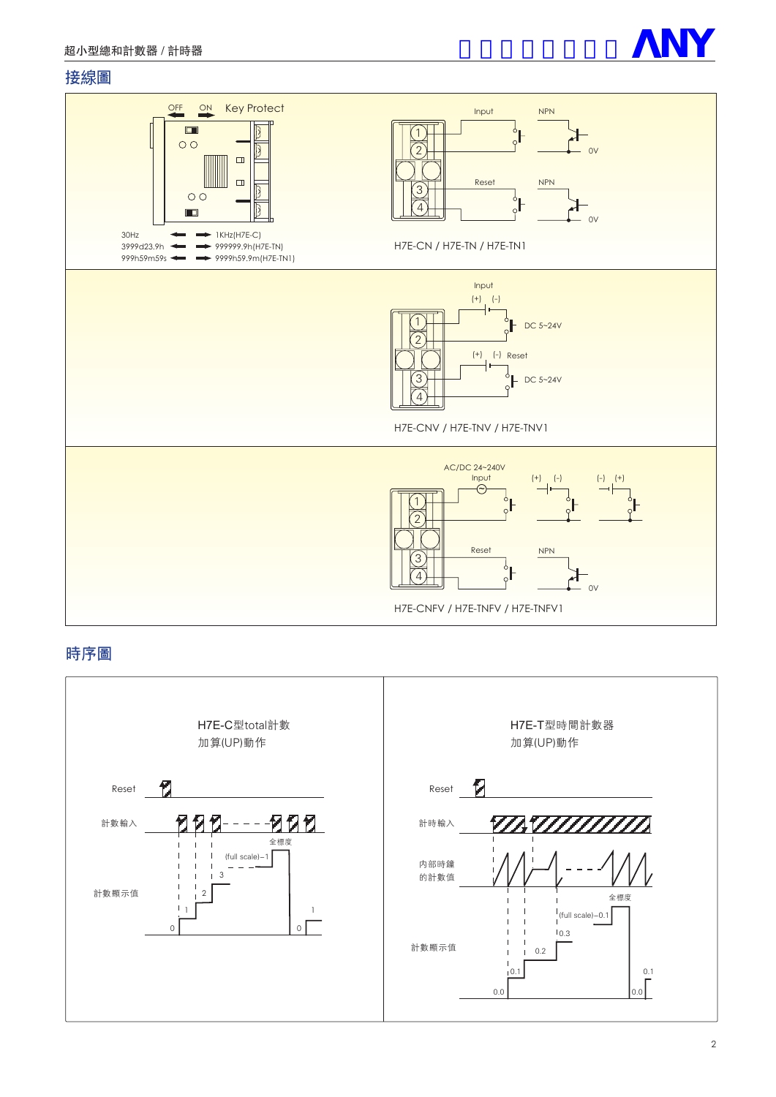

#### 接線圖



#### 時序圖